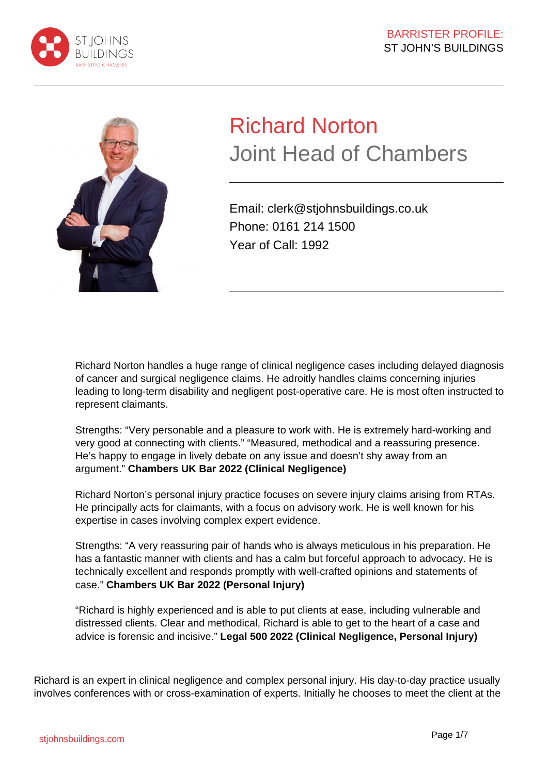



# Richard Norton Joint Head of Chambers

Email: clerk@stjohnsbuildings.co.uk Phone: 0161 214 1500 Year of Call: 1992

Richard Norton handles a huge range of clinical negligence cases including delayed diagnosis of cancer and surgical negligence claims. He adroitly handles claims concerning injuries leading to long-term disability and negligent post-operative care. He is most often instructed to represent claimants.

Strengths: "Very personable and a pleasure to work with. He is extremely hard-working and very good at connecting with clients." "Measured, methodical and a reassuring presence. He's happy to engage in lively debate on any issue and doesn't shy away from an argument." **Chambers UK Bar 2022 (Clinical Negligence)**

Richard Norton's personal injury practice focuses on severe injury claims arising from RTAs. He principally acts for claimants, with a focus on advisory work. He is well known for his expertise in cases involving complex expert evidence.

Strengths: "A very reassuring pair of hands who is always meticulous in his preparation. He has a fantastic manner with clients and has a calm but forceful approach to advocacy. He is technically excellent and responds promptly with well-crafted opinions and statements of case." **Chambers UK Bar 2022 (Personal Injury)**

"Richard is highly experienced and is able to put clients at ease, including vulnerable and distressed clients. Clear and methodical, Richard is able to get to the heart of a case and advice is forensic and incisive." **Legal 500 2022 (Clinical Negligence, Personal Injury)**

Richard is an expert in clinical negligence and complex personal injury. His day-to-day practice usually involves conferences with or cross-examination of experts. Initially he chooses to meet the client at the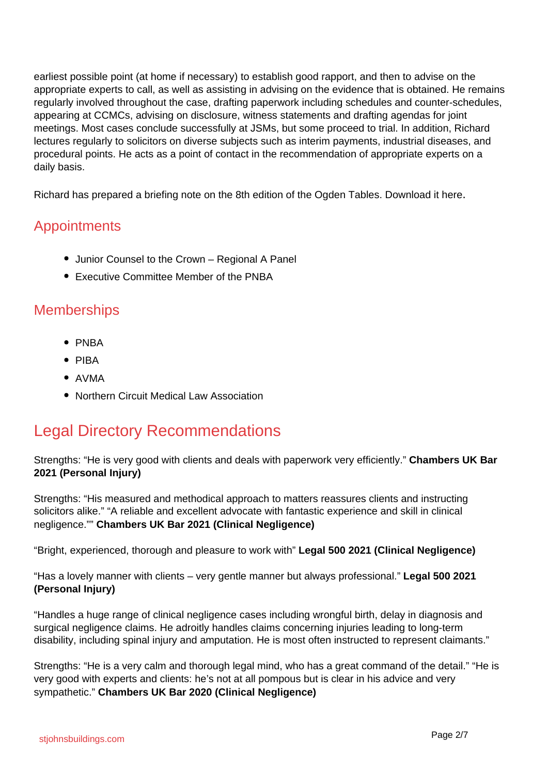earliest possible point (at home if necessary) to establish good rapport, and then to advise on the appropriate experts to call, as well as assisting in advising on the evidence that is obtained. He remains regularly involved throughout the case, drafting paperwork including schedules and counter-schedules, appearing at CCMCs, advising on disclosure, witness statements and drafting agendas for joint meetings. Most cases conclude successfully at JSMs, but some proceed to trial. In addition, Richard lectures regularly to solicitors on diverse subjects such as interim payments, industrial diseases, and procedural points. He acts as a point of contact in the recommendation of appropriate experts on a daily basis.

Richard has prepared a briefing note on the 8th edition of the Ogden Tables. Download it here.

#### **Appointments**

- Junior Counsel to the Crown Regional A Panel
- Executive Committee Member of the PNBA

#### **Memberships**

- $\bullet$  PNBA
- $\bullet$  PIBA
- AVMA
- Northern Circuit Medical Law Association

## Legal Directory Recommendations

Strengths: "He is very good with clients and deals with paperwork very efficiently." **Chambers UK Bar 2021 (Personal Injury)**

Strengths: "His measured and methodical approach to matters reassures clients and instructing solicitors alike." "A reliable and excellent advocate with fantastic experience and skill in clinical negligence."" **Chambers UK Bar 2021 (Clinical Negligence)**

"Bright, experienced, thorough and pleasure to work with" **Legal 500 2021 (Clinical Negligence)**

"Has a lovely manner with clients – very gentle manner but always professional." **Legal 500 2021 (Personal Injury)**

"Handles a huge range of clinical negligence cases including wrongful birth, delay in diagnosis and surgical negligence claims. He adroitly handles claims concerning injuries leading to long-term disability, including spinal injury and amputation. He is most often instructed to represent claimants."

Strengths: "He is a very calm and thorough legal mind, who has a great command of the detail." "He is very good with experts and clients: he's not at all pompous but is clear in his advice and very sympathetic." **Chambers UK Bar 2020 (Clinical Negligence)**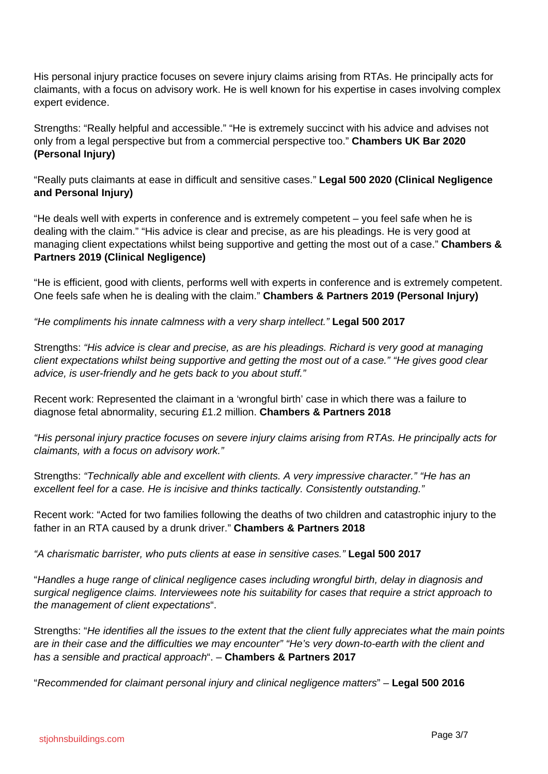His personal injury practice focuses on severe injury claims arising from RTAs. He principally acts for claimants, with a focus on advisory work. He is well known for his expertise in cases involving complex expert evidence.

Strengths: "Really helpful and accessible." "He is extremely succinct with his advice and advises not only from a legal perspective but from a commercial perspective too." **Chambers UK Bar 2020 (Personal Injury)**

"Really puts claimants at ease in difficult and sensitive cases." **Legal 500 2020 (Clinical Negligence and Personal Injury)**

"He deals well with experts in conference and is extremely competent – you feel safe when he is dealing with the claim." "His advice is clear and precise, as are his pleadings. He is very good at managing client expectations whilst being supportive and getting the most out of a case." **Chambers & Partners 2019 (Clinical Negligence)**

"He is efficient, good with clients, performs well with experts in conference and is extremely competent. One feels safe when he is dealing with the claim." **Chambers & Partners 2019 (Personal Injury)**

"He compliments his innate calmness with a very sharp intellect." **Legal 500 2017**

Strengths: "His advice is clear and precise, as are his pleadings. Richard is very good at managing client expectations whilst being supportive and getting the most out of a case." "He gives good clear advice, is user-friendly and he gets back to you about stuff."

Recent work: Represented the claimant in a 'wrongful birth' case in which there was a failure to diagnose fetal abnormality, securing £1.2 million. **Chambers & Partners 2018**

"His personal injury practice focuses on severe injury claims arising from RTAs. He principally acts for claimants, with a focus on advisory work."

Strengths: "Technically able and excellent with clients. A very impressive character." "He has an excellent feel for a case. He is incisive and thinks tactically. Consistently outstanding."

Recent work: "Acted for two families following the deaths of two children and catastrophic injury to the father in an RTA caused by a drunk driver." **Chambers & Partners 2018**

"A charismatic barrister, who puts clients at ease in sensitive cases." **Legal 500 2017**

"Handles a huge range of clinical negligence cases including wrongful birth, delay in diagnosis and surgical negligence claims. Interviewees note his suitability for cases that require a strict approach to the management of client expectations".

Strengths: "He identifies all the issues to the extent that the client fully appreciates what the main points are in their case and the difficulties we may encounter" "He's very down-to-earth with the client and has a sensible and practical approach". – **Chambers & Partners 2017**

"Recommended for claimant personal injury and clinical negligence matters" – **Legal 500 2016**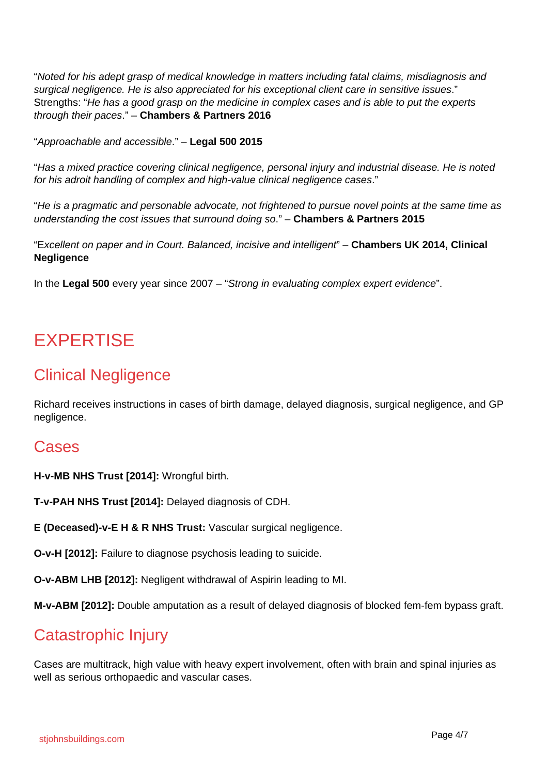"Noted for his adept grasp of medical knowledge in matters including fatal claims, misdiagnosis and surgical negligence. He is also appreciated for his exceptional client care in sensitive issues." Strengths: "He has a good grasp on the medicine in complex cases and is able to put the experts through their paces." – **Chambers & Partners 2016**

"Approachable and accessible." – **Legal 500 2015**

"Has a mixed practice covering clinical negligence, personal injury and industrial disease. He is noted for his adroit handling of complex and high-value clinical negligence cases."

"He is a pragmatic and personable advocate, not frightened to pursue novel points at the same time as understanding the cost issues that surround doing so." – **Chambers & Partners 2015**

"Excellent on paper and in Court. Balanced, incisive and intelligent" – **Chambers UK 2014, Clinical Negligence**

In the **Legal 500** every year since 2007 – "Strong in evaluating complex expert evidence".

## EXPERTISE

## Clinical Negligence

Richard receives instructions in cases of birth damage, delayed diagnosis, surgical negligence, and GP negligence.

#### Cases

**H-v-MB NHS Trust [2014]:** Wrongful birth.

**T-v-PAH NHS Trust [2014]:** Delayed diagnosis of CDH.

**E (Deceased)-v-E H & R NHS Trust:** Vascular surgical negligence.

**O-v-H [2012]:** Failure to diagnose psychosis leading to suicide.

**O-v-ABM LHB [2012]:** Negligent withdrawal of Aspirin leading to MI.

**M-v-ABM [2012]:** Double amputation as a result of delayed diagnosis of blocked fem-fem bypass graft.

#### Catastrophic Injury

Cases are multitrack, high value with heavy expert involvement, often with brain and spinal injuries as well as serious orthopaedic and vascular cases.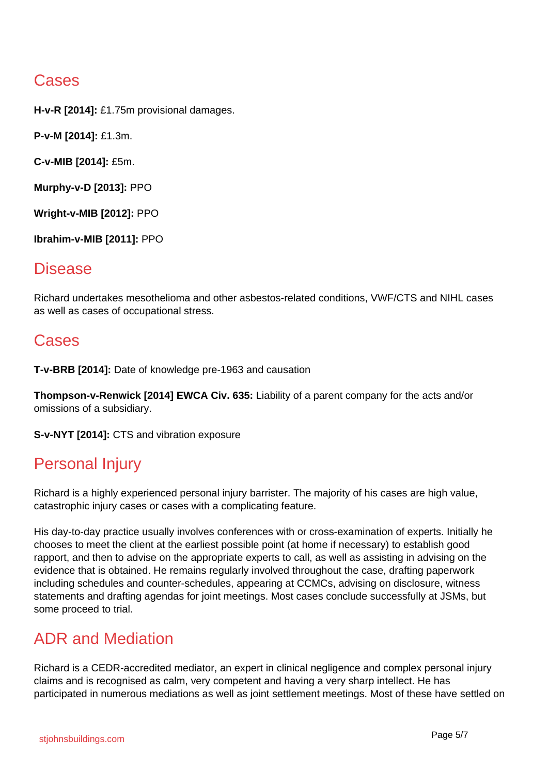## **Cases**

**H-v-R [2014]:** £1.75m provisional damages.

**P-v-M [2014]:** £1.3m.

**C-v-MIB [2014]:** £5m.

**Murphy-v-D [2013]:** PPO

**Wright-v-MIB [2012]:** PPO

**Ibrahim-v-MIB [2011]:** PPO

#### Disease

Richard undertakes mesothelioma and other asbestos-related conditions, VWF/CTS and NIHL cases as well as cases of occupational stress.

#### **Cases**

**T-v-BRB [2014]:** Date of knowledge pre-1963 and causation

**Thompson-v-Renwick [2014] EWCA Civ. 635:** Liability of a parent company for the acts and/or omissions of a subsidiary.

**S-v-NYT [2014]:** CTS and vibration exposure

## Personal Injury

Richard is a highly experienced personal injury barrister. The majority of his cases are high value, catastrophic injury cases or cases with a complicating feature.

His day-to-day practice usually involves conferences with or cross-examination of experts. Initially he chooses to meet the client at the earliest possible point (at home if necessary) to establish good rapport, and then to advise on the appropriate experts to call, as well as assisting in advising on the evidence that is obtained. He remains regularly involved throughout the case, drafting paperwork including schedules and counter-schedules, appearing at CCMCs, advising on disclosure, witness statements and drafting agendas for joint meetings. Most cases conclude successfully at JSMs, but some proceed to trial.

## ADR and Mediation

Richard is a CEDR-accredited mediator, an expert in clinical negligence and complex personal injury claims and is recognised as calm, very competent and having a very sharp intellect. He has participated in numerous mediations as well as joint settlement meetings. Most of these have settled on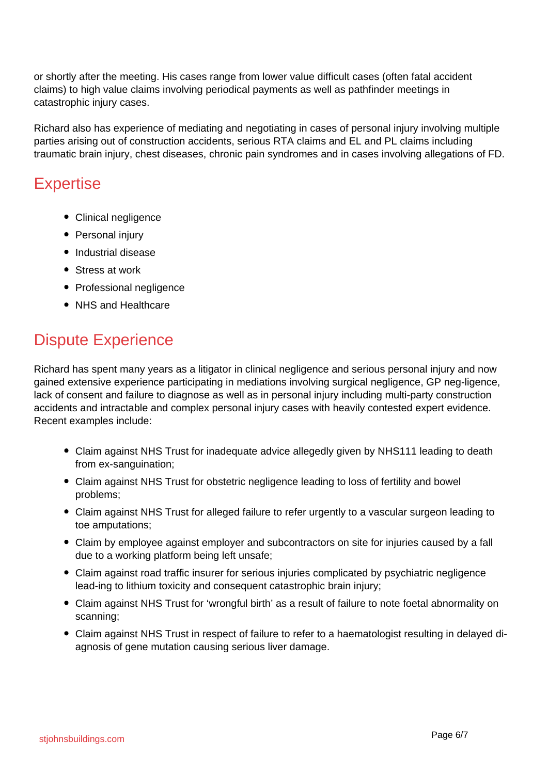or shortly after the meeting. His cases range from lower value difficult cases (often fatal accident claims) to high value claims involving periodical payments as well as pathfinder meetings in catastrophic injury cases.

Richard also has experience of mediating and negotiating in cases of personal injury involving multiple parties arising out of construction accidents, serious RTA claims and EL and PL claims including traumatic brain injury, chest diseases, chronic pain syndromes and in cases involving allegations of FD.

#### **Expertise**

- Clinical negligence
- Personal injury
- Industrial disease
- Stress at work
- Professional negligence
- NHS and Healthcare

## Dispute Experience

Richard has spent many years as a litigator in clinical negligence and serious personal injury and now gained extensive experience participating in mediations involving surgical negligence, GP neg-ligence, lack of consent and failure to diagnose as well as in personal injury including multi-party construction accidents and intractable and complex personal injury cases with heavily contested expert evidence. Recent examples include:

- Claim against NHS Trust for inadequate advice allegedly given by NHS111 leading to death from ex-sanguination;
- Claim against NHS Trust for obstetric negligence leading to loss of fertility and bowel problems;
- Claim against NHS Trust for alleged failure to refer urgently to a vascular surgeon leading to toe amputations;
- Claim by employee against employer and subcontractors on site for injuries caused by a fall due to a working platform being left unsafe;
- Claim against road traffic insurer for serious injuries complicated by psychiatric negligence lead-ing to lithium toxicity and consequent catastrophic brain injury;
- Claim against NHS Trust for 'wrongful birth' as a result of failure to note foetal abnormality on scanning;
- Claim against NHS Trust in respect of failure to refer to a haematologist resulting in delayed diagnosis of gene mutation causing serious liver damage.